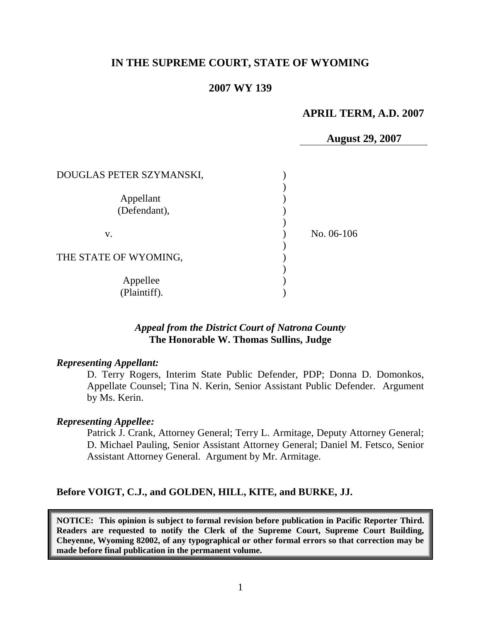### **IN THE SUPREME COURT, STATE OF WYOMING**

#### **2007 WY 139**

# **APRIL TERM, A.D. 2007**

**August 29, 2007**

| DOUGLAS PETER SZYMANSKI,  |            |
|---------------------------|------------|
| Appellant<br>(Defendant), |            |
| V.                        | No. 06-106 |
| THE STATE OF WYOMING,     |            |
| Appellee<br>(Plaintiff).  |            |

#### *Appeal from the District Court of Natrona County* **The Honorable W. Thomas Sullins, Judge**

#### *Representing Appellant:*

D. Terry Rogers, Interim State Public Defender, PDP; Donna D. Domonkos, Appellate Counsel; Tina N. Kerin, Senior Assistant Public Defender. Argument by Ms. Kerin.

#### *Representing Appellee:*

Patrick J. Crank, Attorney General; Terry L. Armitage, Deputy Attorney General; D. Michael Pauling, Senior Assistant Attorney General; Daniel M. Fetsco, Senior Assistant Attorney General. Argument by Mr. Armitage.

#### **Before VOIGT, C.J., and GOLDEN, HILL, KITE, and BURKE, JJ.**

**NOTICE: This opinion is subject to formal revision before publication in Pacific Reporter Third. Readers are requested to notify the Clerk of the Supreme Court, Supreme Court Building, Cheyenne, Wyoming 82002, of any typographical or other formal errors so that correction may be made before final publication in the permanent volume.**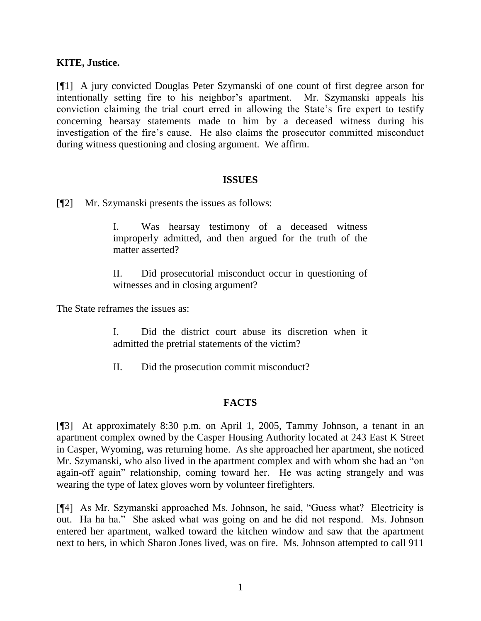#### **KITE, Justice.**

[¶1] A jury convicted Douglas Peter Szymanski of one count of first degree arson for intentionally setting fire to his neighbor's apartment. Mr. Szymanski appeals his conviction claiming the trial court erred in allowing the State's fire expert to testify concerning hearsay statements made to him by a deceased witness during his investigation of the fire's cause. He also claims the prosecutor committed misconduct during witness questioning and closing argument. We affirm.

#### **ISSUES**

[¶2] Mr. Szymanski presents the issues as follows:

I. Was hearsay testimony of a deceased witness improperly admitted, and then argued for the truth of the matter asserted?

II. Did prosecutorial misconduct occur in questioning of witnesses and in closing argument?

The State reframes the issues as:

I. Did the district court abuse its discretion when it admitted the pretrial statements of the victim?

II. Did the prosecution commit misconduct?

# **FACTS**

[¶3] At approximately 8:30 p.m. on April 1, 2005, Tammy Johnson, a tenant in an apartment complex owned by the Casper Housing Authority located at 243 East K Street in Casper, Wyoming, was returning home. As she approached her apartment, she noticed Mr. Szymanski, who also lived in the apartment complex and with whom she had an "on again-off again" relationship, coming toward her. He was acting strangely and was wearing the type of latex gloves worn by volunteer firefighters.

[¶4] As Mr. Szymanski approached Ms. Johnson, he said, "Guess what? Electricity is out. Ha ha ha." She asked what was going on and he did not respond. Ms. Johnson entered her apartment, walked toward the kitchen window and saw that the apartment next to hers, in which Sharon Jones lived, was on fire. Ms. Johnson attempted to call 911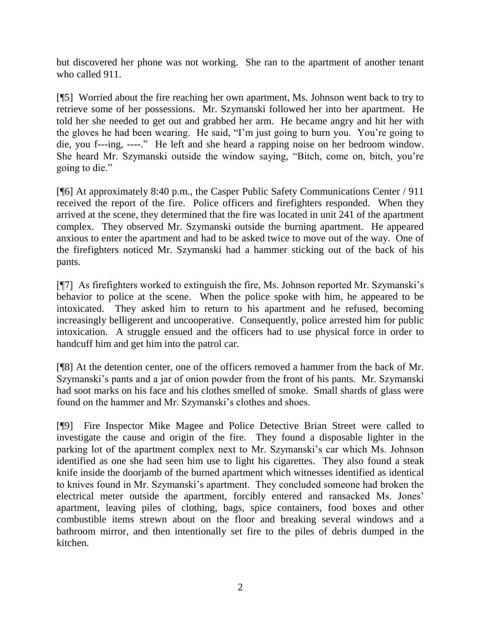but discovered her phone was not working. She ran to the apartment of another tenant who called 911.

[¶5] Worried about the fire reaching her own apartment, Ms. Johnson went back to try to retrieve some of her possessions. Mr. Szymanski followed her into her apartment. He told her she needed to get out and grabbed her arm. He became angry and hit her with the gloves he had been wearing. He said, "I'm just going to burn you. You're going to die, you f---ing, ----." He left and she heard a rapping noise on her bedroom window. She heard Mr. Szymanski outside the window saying, "Bitch, come on, bitch, you're going to die."

[¶6] At approximately 8:40 p.m., the Casper Public Safety Communications Center / 911 received the report of the fire. Police officers and firefighters responded. When they arrived at the scene, they determined that the fire was located in unit 241 of the apartment complex. They observed Mr. Szymanski outside the burning apartment. He appeared anxious to enter the apartment and had to be asked twice to move out of the way. One of the firefighters noticed Mr. Szymanski had a hammer sticking out of the back of his pants.

[¶7] As firefighters worked to extinguish the fire, Ms. Johnson reported Mr. Szymanski's behavior to police at the scene. When the police spoke with him, he appeared to be intoxicated. They asked him to return to his apartment and he refused, becoming increasingly belligerent and uncooperative. Consequently, police arrested him for public intoxication. A struggle ensued and the officers had to use physical force in order to handcuff him and get him into the patrol car.

[¶8] At the detention center, one of the officers removed a hammer from the back of Mr. Szymanski's pants and a jar of onion powder from the front of his pants. Mr. Szymanski had soot marks on his face and his clothes smelled of smoke. Small shards of glass were found on the hammer and Mr. Szymanski's clothes and shoes.

[¶9] Fire Inspector Mike Magee and Police Detective Brian Street were called to investigate the cause and origin of the fire. They found a disposable lighter in the parking lot of the apartment complex next to Mr. Szymanski's car which Ms. Johnson identified as one she had seen him use to light his cigarettes. They also found a steak knife inside the doorjamb of the burned apartment which witnesses identified as identical to knives found in Mr. Szymanski's apartment. They concluded someone had broken the electrical meter outside the apartment, forcibly entered and ransacked Ms. Jones' apartment, leaving piles of clothing, bags, spice containers, food boxes and other combustible items strewn about on the floor and breaking several windows and a bathroom mirror, and then intentionally set fire to the piles of debris dumped in the kitchen.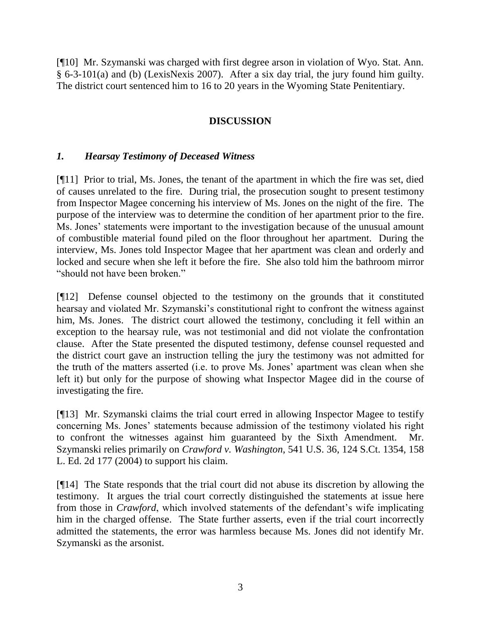[¶10] Mr. Szymanski was charged with first degree arson in violation of Wyo. Stat. Ann. § 6-3-101(a) and (b) (LexisNexis 2007). After a six day trial, the jury found him guilty. The district court sentenced him to 16 to 20 years in the Wyoming State Penitentiary.

### **DISCUSSION**

### *1. Hearsay Testimony of Deceased Witness*

[¶11] Prior to trial, Ms. Jones, the tenant of the apartment in which the fire was set, died of causes unrelated to the fire. During trial, the prosecution sought to present testimony from Inspector Magee concerning his interview of Ms. Jones on the night of the fire. The purpose of the interview was to determine the condition of her apartment prior to the fire. Ms. Jones' statements were important to the investigation because of the unusual amount of combustible material found piled on the floor throughout her apartment. During the interview, Ms. Jones told Inspector Magee that her apartment was clean and orderly and locked and secure when she left it before the fire. She also told him the bathroom mirror "should not have been broken."

[¶12] Defense counsel objected to the testimony on the grounds that it constituted hearsay and violated Mr. Szymanski's constitutional right to confront the witness against him, Ms. Jones. The district court allowed the testimony, concluding it fell within an exception to the hearsay rule, was not testimonial and did not violate the confrontation clause. After the State presented the disputed testimony, defense counsel requested and the district court gave an instruction telling the jury the testimony was not admitted for the truth of the matters asserted (i.e. to prove Ms. Jones' apartment was clean when she left it) but only for the purpose of showing what Inspector Magee did in the course of investigating the fire.

[¶13] Mr. Szymanski claims the trial court erred in allowing Inspector Magee to testify concerning Ms. Jones' statements because admission of the testimony violated his right to confront the witnesses against him guaranteed by the Sixth Amendment. Mr. Szymanski relies primarily on *Crawford v. Washington*, 541 U.S. 36, 124 S.Ct. 1354, 158 L. Ed. 2d 177 (2004) to support his claim.

[¶14] The State responds that the trial court did not abuse its discretion by allowing the testimony. It argues the trial court correctly distinguished the statements at issue here from those in *Crawford*, which involved statements of the defendant's wife implicating him in the charged offense. The State further asserts, even if the trial court incorrectly admitted the statements, the error was harmless because Ms. Jones did not identify Mr. Szymanski as the arsonist.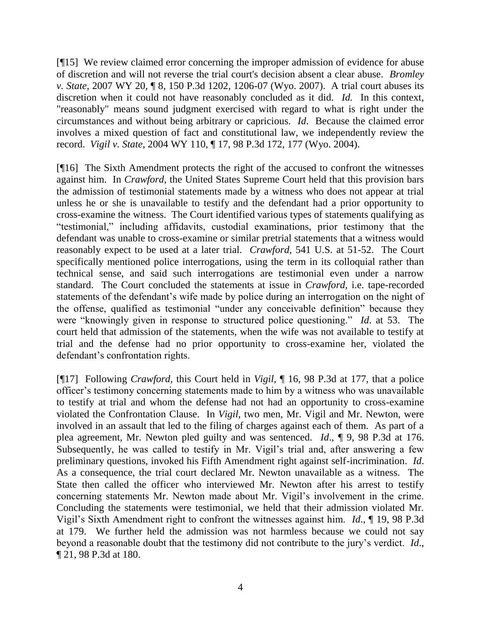[¶15] We review claimed error concerning the improper admission of evidence for abuse of discretion and will not reverse the trial court's decision absent a clear abuse. *Bromley v. State*, 2007 WY 20, ¶ 8, 150 P.3d 1202, 1206-07 (Wyo. 2007). A trial court abuses its discretion when it could not have reasonably concluded as it did. *Id.* In this context, "reasonably" means sound judgment exercised with regard to what is right under the circumstances and without being arbitrary or capricious. *Id*. Because the claimed error involves a mixed question of fact and constitutional law, we independently review the record. *Vigil v. State*, 2004 WY 110, ¶ 17, 98 P.3d 172, 177 (Wyo. 2004).

[¶16] The Sixth Amendment protects the right of the accused to confront the witnesses against him. In *Crawford*, the United States Supreme Court held that this provision bars the admission of testimonial statements made by a witness who does not appear at trial unless he or she is unavailable to testify and the defendant had a prior opportunity to cross-examine the witness. The Court identified various types of statements qualifying as ―testimonial,‖ including affidavits, custodial examinations, prior testimony that the defendant was unable to cross-examine or similar pretrial statements that a witness would reasonably expect to be used at a later trial. *Crawford*, 541 U.S. at 51-52. The Court specifically mentioned police interrogations, using the term in its colloquial rather than technical sense, and said such interrogations are testimonial even under a narrow standard. The Court concluded the statements at issue in *Crawford*, i.e. tape-recorded statements of the defendant's wife made by police during an interrogation on the night of the offense, qualified as testimonial "under any conceivable definition" because they were "knowingly given in response to structured police questioning." *Id.* at 53. The court held that admission of the statements, when the wife was not available to testify at trial and the defense had no prior opportunity to cross-examine her, violated the defendant's confrontation rights.

[¶17] Following *Crawford*, this Court held in *Vigil*, ¶ 16, 98 P.3d at 177, that a police officer's testimony concerning statements made to him by a witness who was unavailable to testify at trial and whom the defense had not had an opportunity to cross-examine violated the Confrontation Clause. In *Vigil*, two men, Mr. Vigil and Mr. Newton, were involved in an assault that led to the filing of charges against each of them. As part of a plea agreement, Mr. Newton pled guilty and was sentenced. *Id*., ¶ 9, 98 P.3d at 176. Subsequently, he was called to testify in Mr. Vigil's trial and, after answering a few preliminary questions, invoked his Fifth Amendment right against self-incrimination. *Id*. As a consequence, the trial court declared Mr. Newton unavailable as a witness. The State then called the officer who interviewed Mr. Newton after his arrest to testify concerning statements Mr. Newton made about Mr. Vigil's involvement in the crime. Concluding the statements were testimonial, we held that their admission violated Mr. Vigil's Sixth Amendment right to confront the witnesses against him. *Id*., ¶ 19, 98 P.3d at 179. We further held the admission was not harmless because we could not say beyond a reasonable doubt that the testimony did not contribute to the jury's verdict. *Id*., ¶ 21, 98 P.3d at 180.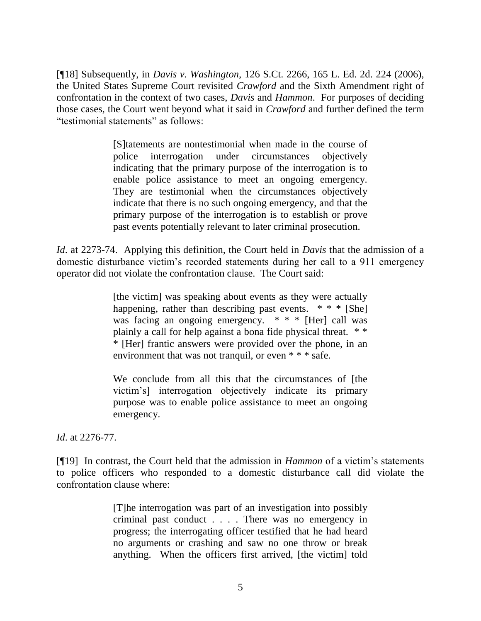[¶18] Subsequently, in *[Davis v. Washington,](http://www.lexis.com/research/buttonTFLink?_m=07e747cab5e8949b8d734029ed1567f5&_xfercite=%3ccite%20cc%3d%22USA%22%3e%3c%21%5bCDATA%5b126%20S.%20Ct.%202266%5d%5d%3e%3c%2fcite%3e&_lexsee=SHMID&_butType=3&_butStat=254&_butNum=90&_butInline=1&_butinfo=%3ccite%20cc%3d%22USA%22%3e%3c%21%5bCDATA%5b2006%20U.S.%20LEXIS%204886%5d%5d%3e%3c%2fcite%3e&_fmtstr=FULL&docnum=1&_startdoc=1&wchp=dGLzVlz-zSkAV&_md5=199afa295e6137788dca09ec84b42a37)* 126 S.Ct. 2266, 165 L. Ed. 2d. 224 (2006), the United States Supreme Court revisited *Crawford* and the Sixth Amendment right of confrontation in the context of two cases, *Davis* and *Hammon*. For purposes of deciding those cases, the Court went beyond what it said in *Crawford* and further defined the term "testimonial statements" as follows:

> [S]tatements are nontestimonial when made in the course of police interrogation under circumstances objectively indicating that the primary purpose of the interrogation is to enable police assistance to meet an ongoing emergency. They are testimonial when the circumstances objectively indicate that there is no such ongoing emergency, and that the primary purpose of the interrogation is to establish or prove past events potentially relevant to later criminal prosecution.

*Id*. at 2273-74. Applying this definition, the Court held in *Davis* that the admission of a domestic disturbance victim's recorded statements during her call to a 911 emergency operator did not violate the confrontation clause. The Court said:

> [the victim] was speaking about events as they were actually happening, rather than describing past events.  $* * *$  [She] was facing an ongoing emergency. \* \* \* [Her] call was plainly a call for help against a bona fide physical threat. \* \* \* [Her] frantic answers were provided over the phone, in an environment that was not tranquil, or even \* \* \* safe.

> We conclude from all this that the circumstances of [the victim's] interrogation objectively indicate its primary purpose was to enable police assistance to meet an ongoing emergency.

*Id*. at 2276-77.

[¶19] In contrast, the Court held that the admission in *Hammon* of a victim's statements to police officers who responded to a domestic disturbance call did violate the confrontation clause where:

> [T]he interrogation was part of an investigation into possibly criminal past conduct . . . . There was no emergency in progress; the interrogating officer testified that he had heard no arguments or crashing and saw no one throw or break anything. When the officers first arrived, [the victim] told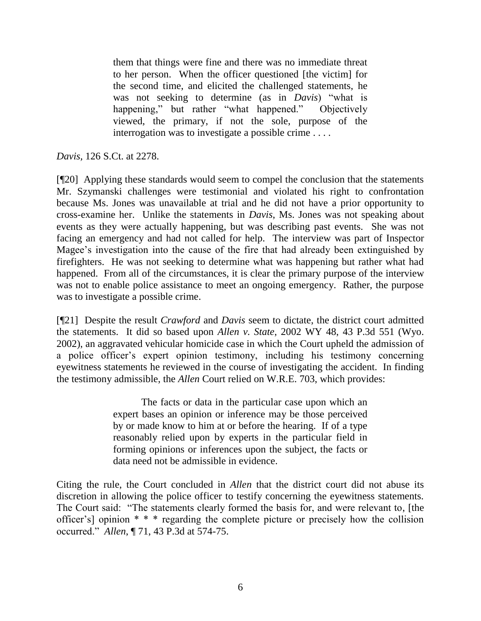them that things were fine and there was no immediate threat to her person. When the officer questioned [the victim] for the second time, and elicited the challenged statements, he was not seeking to determine (as in *Davis*) "what is happening," but rather "what happened." Objectively viewed, the primary, if not the sole, purpose of the interrogation was to investigate a possible crime . . . .

*Davis,* 126 S.Ct. at 2278.

[¶20] Applying these standards would seem to compel the conclusion that the statements Mr. Szymanski challenges were testimonial and violated his right to confrontation because Ms. Jones was unavailable at trial and he did not have a prior opportunity to cross-examine her. Unlike the statements in *Davis*, Ms. Jones was not speaking about events as they were actually happening, but was describing past events. She was not facing an emergency and had not called for help. The interview was part of Inspector Magee's investigation into the cause of the fire that had already been extinguished by firefighters. He was not seeking to determine what was happening but rather what had happened. From all of the circumstances, it is clear the primary purpose of the interview was not to enable police assistance to meet an ongoing emergency. Rather, the purpose was to investigate a possible crime.

[¶21] Despite the result *Crawford* and *Davis* seem to dictate, the district court admitted the statements. It did so based upon *Allen v. State*, 2002 WY 48, 43 P.3d 551 (Wyo. 2002), an aggravated vehicular homicide case in which the Court upheld the admission of a police officer's expert opinion testimony, including his testimony concerning eyewitness statements he reviewed in the course of investigating the accident. In finding the testimony admissible, the *Allen* Court relied on W.R.E. 703, which provides:

> The facts or data in the particular case upon which an expert bases an opinion or inference may be those perceived by or made know to him at or before the hearing. If of a type reasonably relied upon by experts in the particular field in forming opinions or inferences upon the subject, the facts or data need not be admissible in evidence.

Citing the rule, the Court concluded in *Allen* that the district court did not abuse its discretion in allowing the police officer to testify concerning the eyewitness statements. The Court said: "The statements clearly formed the basis for, and were relevant to, [the officer's] opinion \* \* \* regarding the complete picture or precisely how the collision occurred.‖ *Allen*, ¶ 71, 43 P.3d at 574-75.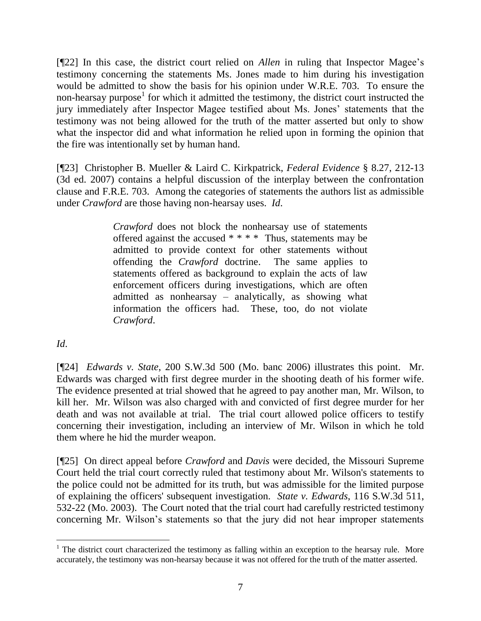[¶22] In this case, the district court relied on *Allen* in ruling that Inspector Magee's testimony concerning the statements Ms. Jones made to him during his investigation would be admitted to show the basis for his opinion under W.R.E. 703. To ensure the non-hearsay purpose<sup>1</sup> for which it admitted the testimony, the district court instructed the jury immediately after Inspector Magee testified about Ms. Jones' statements that the testimony was not being allowed for the truth of the matter asserted but only to show what the inspector did and what information he relied upon in forming the opinion that the fire was intentionally set by human hand.

[¶23] Christopher B. Mueller & Laird C. Kirkpatrick, *Federal Evidence* § 8.27, 212-13 (3d ed. 2007) contains a helpful discussion of the interplay between the confrontation clause and F.R.E. 703. Among the categories of statements the authors list as admissible under *Crawford* are those having non-hearsay uses. *Id*.

> *Crawford* does not block the nonhearsay use of statements offered against the accused \* \* \* \* Thus, statements may be admitted to provide context for other statements without offending the *Crawford* doctrine. The same applies to statements offered as background to explain the acts of law enforcement officers during investigations, which are often admitted as nonhearsay – analytically, as showing what information the officers had. These, too, do not violate *Crawford*.

*Id*.

[¶24] *Edwards v. State*, 200 S.W.3d 500 (Mo. banc 2006) illustrates this point. Mr. Edwards was charged with first degree murder in the shooting death of his former wife. The evidence presented at trial showed that he agreed to pay another man, Mr. Wilson, to kill her. Mr. Wilson was also charged with and convicted of first degree murder for her death and was not available at trial. The trial court allowed police officers to testify concerning their investigation, including an interview of Mr. Wilson in which he told them where he hid the murder weapon.

[¶25] On direct appeal before *Crawford* and *Davis* were decided, the Missouri Supreme Court held the trial court correctly ruled that testimony about Mr. Wilson's statements to the police could not be admitted for its truth, but was admissible for the limited purpose of explaining the officers' subsequent investigation. *State v. Edwards*, 116 S.W.3d 511, 532-22 (Mo. 2003). The Court noted that the trial court had carefully restricted testimony concerning Mr. Wilson's statements so that the jury did not hear improper statements

  $1$  The district court characterized the testimony as falling within an exception to the hearsay rule. More accurately, the testimony was non-hearsay because it was not offered for the truth of the matter asserted.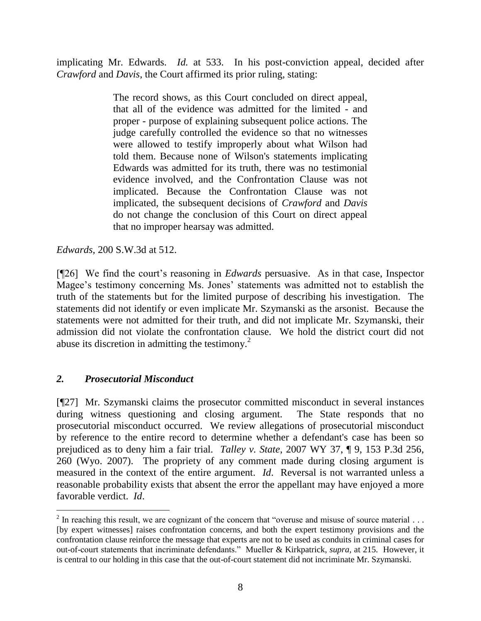implicating Mr. Edwards. *Id.* at 533. In his post-conviction appeal, decided after *Crawford* and *Davis*, the Court affirmed its prior ruling, stating:

> The record shows, as this Court concluded on direct appeal, that all of the evidence was admitted for the limited - and proper - purpose of explaining subsequent police actions. The judge carefully controlled the evidence so that no witnesses were allowed to testify improperly about what Wilson had told them. Because none of Wilson's statements implicating Edwards was admitted for its truth, there was no testimonial evidence involved, and the [Confrontation Clause](http://www.lexis.com/research/buttonTFLink?_m=8e5f85a26164a472013bddb299cdd018&_xfercite=%3ccite%20cc%3d%22USA%22%3e%3c%21%5bCDATA%5b200%20S.W.3d%20500%5d%5d%3e%3c%2fcite%3e&_butType=4&_butStat=0&_butNum=92&_butInline=1&_butinfo=U.S.%20CONST.%20AMEND.%206&_fmtstr=FULL&docnum=1&_startdoc=1&wchp=dGLzVzz-zSkAB&_md5=8c280e6c7ff1c8ed92cd101fa7ed78ee) was not implicated. Because the [Confrontation Clause](http://www.lexis.com/research/buttonTFLink?_m=8e5f85a26164a472013bddb299cdd018&_xfercite=%3ccite%20cc%3d%22USA%22%3e%3c%21%5bCDATA%5b200%20S.W.3d%20500%5d%5d%3e%3c%2fcite%3e&_butType=4&_butStat=0&_butNum=93&_butInline=1&_butinfo=U.S.%20CONST.%20AMEND.%206&_fmtstr=FULL&docnum=1&_startdoc=1&wchp=dGLzVzz-zSkAB&_md5=8eac718335aae3220610f97e35fba53f) was not implicated, the subsequent decisions of *[Crawford](http://www.lexis.com/research/buttonTFLink?_m=8e5f85a26164a472013bddb299cdd018&_xfercite=%3ccite%20cc%3d%22USA%22%3e%3c%21%5bCDATA%5b200%20S.W.3d%20500%5d%5d%3e%3c%2fcite%3e&_butType=3&_butStat=2&_butNum=94&_butInline=1&_butinfo=%3ccite%20cc%3d%22USA%22%3e%3c%21%5bCDATA%5b541%20U.S.%2036%5d%5d%3e%3c%2fcite%3e&_fmtstr=FULL&docnum=1&_startdoc=1&wchp=dGLzVzz-zSkAB&_md5=e193d886d2647e0a10b9e651957d9843)* and *[Davis](http://www.lexis.com/research/buttonTFLink?_m=8e5f85a26164a472013bddb299cdd018&_xfercite=%3ccite%20cc%3d%22USA%22%3e%3c%21%5bCDATA%5b200%20S.W.3d%20500%5d%5d%3e%3c%2fcite%3e&_butType=3&_butStat=2&_butNum=95&_butInline=1&_butinfo=%3ccite%20cc%3d%22USA%22%3e%3c%21%5bCDATA%5b126%20S.%20Ct.%202266%5d%5d%3e%3c%2fcite%3e&_fmtstr=FULL&docnum=1&_startdoc=1&wchp=dGLzVzz-zSkAB&_md5=09a9af0725ea0ade7e8fae9dac092390)* do not change the conclusion of this Court on direct appeal that no improper hearsay was admitted.

*Edwards,* 200 S.W.3d at 512.

[¶26] We find the court's reasoning in *Edwards* persuasive. As in that case, Inspector Magee's testimony concerning Ms. Jones' statements was admitted not to establish the truth of the statements but for the limited purpose of describing his investigation. The statements did not identify or even implicate Mr. Szymanski as the arsonist. Because the statements were not admitted for their truth, and did not implicate Mr. Szymanski, their admission did not violate the confrontation clause. We hold the district court did not abuse its discretion in admitting the testimony. $^{2}$ 

### *2. Prosecutorial Misconduct*

 $\overline{a}$ 

[¶27] Mr. Szymanski claims the prosecutor committed misconduct in several instances during witness questioning and closing argument. The State responds that no prosecutorial misconduct occurred. We review allegations of prosecutorial misconduct by reference to the entire record to determine whether a defendant's case has been so prejudiced as to deny him a fair trial. *Talley v. State*, 2007 WY 37, ¶ 9, 153 P.3d 256, 260 (Wyo. 2007). The propriety of any comment made during closing argument is measured in the context of the entire argument. *Id*. Reversal is not warranted unless a reasonable probability exists that absent the error the appellant may have enjoyed a more favorable verdict. *Id*.

<sup>&</sup>lt;sup>2</sup> In reaching this result, we are cognizant of the concern that "overuse and misuse of source material  $\dots$ [by expert witnesses] raises confrontation concerns, and both the expert testimony provisions and the confrontation clause reinforce the message that experts are not to be used as conduits in criminal cases for out-of-court statements that incriminate defendants." Mueller & Kirkpatrick, *supra*, at 215. However, it is central to our holding in this case that the out-of-court statement did not incriminate Mr. Szymanski.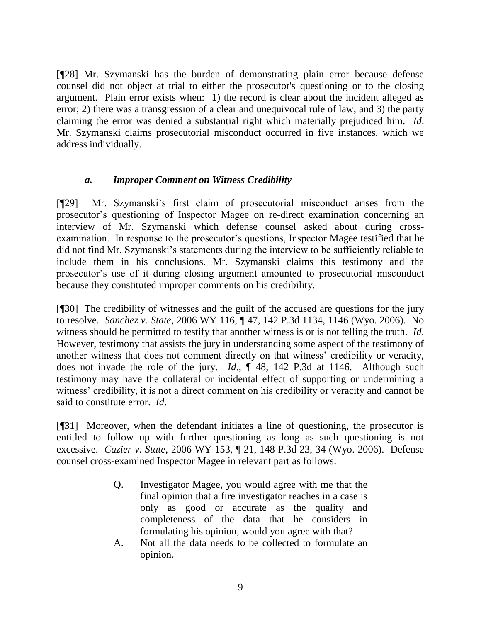[¶28] Mr. Szymanski has the burden of demonstrating plain error because defense counsel did not object at trial to either the prosecutor's questioning or to the closing argument. Plain error exists when: 1) the record is clear about the incident alleged as error; 2) there was a transgression of a clear and unequivocal rule of law; and 3) the party claiming the error was denied a substantial right which materially prejudiced him. *Id*. Mr. Szymanski claims prosecutorial misconduct occurred in five instances, which we address individually.

### *a. Improper Comment on Witness Credibility*

[¶29] Mr. Szymanski's first claim of prosecutorial misconduct arises from the prosecutor's questioning of Inspector Magee on re-direct examination concerning an interview of Mr. Szymanski which defense counsel asked about during crossexamination. In response to the prosecutor's questions, Inspector Magee testified that he did not find Mr. Szymanski's statements during the interview to be sufficiently reliable to include them in his conclusions. Mr. Szymanski claims this testimony and the prosecutor's use of it during closing argument amounted to prosecutorial misconduct because they constituted improper comments on his credibility.

[¶30] The credibility of witnesses and the guilt of the accused are questions for the jury to resolve. *Sanchez v. State*, 2006 WY 116, ¶ 47, 142 P.3d 1134, 1146 (Wyo. 2006). No witness should be permitted to testify that another witness is or is not telling the truth. *Id*. However, testimony that assists the jury in understanding some aspect of the testimony of another witness that does not comment directly on that witness' credibility or veracity, does not invade the role of the jury. *Id*., ¶ 48, 142 P.3d at 1146. Although such testimony may have the collateral or incidental effect of supporting or undermining a witness' credibility, it is not a direct comment on his credibility or veracity and cannot be said to constitute error. *Id*.

[¶31] Moreover, when the defendant initiates a line of questioning, the prosecutor is entitled to follow up with further questioning as long as such questioning is not excessive. *Cazier v. State*, 2006 WY 153, ¶ 21, 148 P.3d 23, 34 (Wyo. 2006). Defense counsel cross-examined Inspector Magee in relevant part as follows:

- Q. Investigator Magee, you would agree with me that the final opinion that a fire investigator reaches in a case is only as good or accurate as the quality and completeness of the data that he considers in formulating his opinion, would you agree with that?
- A. Not all the data needs to be collected to formulate an opinion.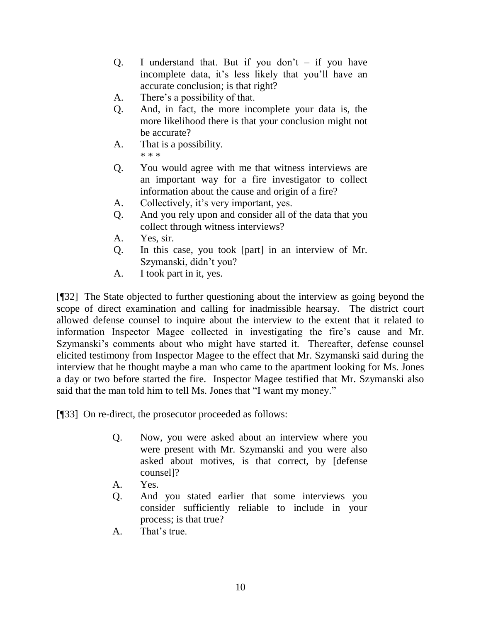- Q. I understand that. But if you don't  $-$  if you have incomplete data, it's less likely that you'll have an accurate conclusion; is that right?
- A. There's a possibility of that.
- Q. And, in fact, the more incomplete your data is, the more likelihood there is that your conclusion might not be accurate?
- A. That is a possibility. \* \* \*
- Q. You would agree with me that witness interviews are an important way for a fire investigator to collect information about the cause and origin of a fire?
- A. Collectively, it's very important, yes.
- Q. And you rely upon and consider all of the data that you collect through witness interviews?
- A. Yes, sir.
- Q. In this case, you took [part] in an interview of Mr. Szymanski, didn't you?
- A. I took part in it, yes.

[¶32] The State objected to further questioning about the interview as going beyond the scope of direct examination and calling for inadmissible hearsay. The district court allowed defense counsel to inquire about the interview to the extent that it related to information Inspector Magee collected in investigating the fire's cause and Mr. Szymanski's comments about who might have started it. Thereafter, defense counsel elicited testimony from Inspector Magee to the effect that Mr. Szymanski said during the interview that he thought maybe a man who came to the apartment looking for Ms. Jones a day or two before started the fire. Inspector Magee testified that Mr. Szymanski also said that the man told him to tell Ms. Jones that "I want my money."

[¶33] On re-direct, the prosecutor proceeded as follows:

- Q. Now, you were asked about an interview where you were present with Mr. Szymanski and you were also asked about motives, is that correct, by [defense counsel]?
- A. Yes.
- Q. And you stated earlier that some interviews you consider sufficiently reliable to include in your process; is that true?
- A. That's true.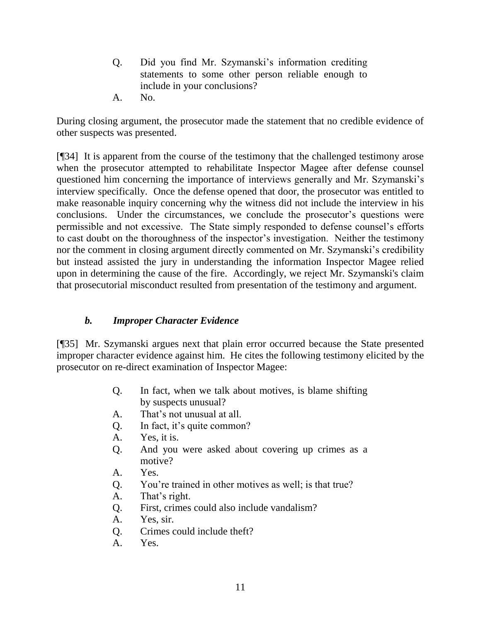- Q. Did you find Mr. Szymanski's information crediting statements to some other person reliable enough to include in your conclusions?
- A. No.

During closing argument, the prosecutor made the statement that no credible evidence of other suspects was presented.

[¶34] It is apparent from the course of the testimony that the challenged testimony arose when the prosecutor attempted to rehabilitate Inspector Magee after defense counsel questioned him concerning the importance of interviews generally and Mr. Szymanski's interview specifically. Once the defense opened that door, the prosecutor was entitled to make reasonable inquiry concerning why the witness did not include the interview in his conclusions. Under the circumstances, we conclude the prosecutor's questions were permissible and not excessive. The State simply responded to defense counsel's efforts to cast doubt on the thoroughness of the inspector's investigation. Neither the testimony nor the comment in closing argument directly commented on Mr. Szymanski's credibility but instead assisted the jury in understanding the information Inspector Magee relied upon in determining the cause of the fire. Accordingly, we reject Mr. Szymanski's claim that prosecutorial misconduct resulted from presentation of the testimony and argument.

### *b. Improper Character Evidence*

[¶35] Mr. Szymanski argues next that plain error occurred because the State presented improper character evidence against him. He cites the following testimony elicited by the prosecutor on re-direct examination of Inspector Magee:

- Q. In fact, when we talk about motives, is blame shifting by suspects unusual?
- A. That's not unusual at all.
- Q. In fact, it's quite common?
- A. Yes, it is.
- Q. And you were asked about covering up crimes as a motive?
- A. Yes.
- Q. You're trained in other motives as well; is that true?
- A. That's right.
- Q. First, crimes could also include vandalism?
- A. Yes, sir.
- Q. Crimes could include theft?
- A. Yes.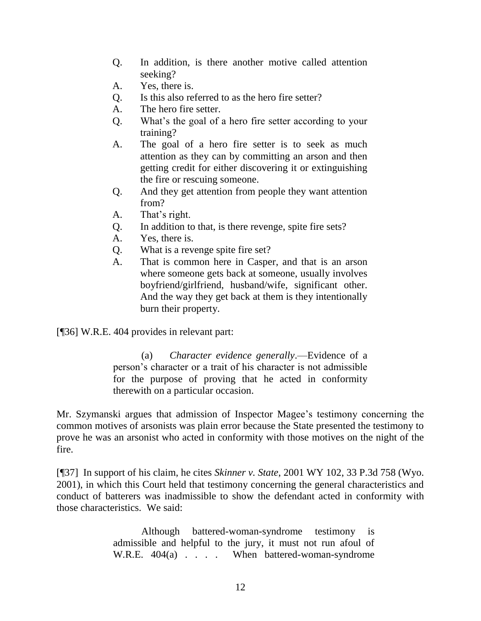- Q. In addition, is there another motive called attention seeking?
- A. Yes, there is.
- Q. Is this also referred to as the hero fire setter?
- A. The hero fire setter.
- Q. What's the goal of a hero fire setter according to your training?
- A. The goal of a hero fire setter is to seek as much attention as they can by committing an arson and then getting credit for either discovering it or extinguishing the fire or rescuing someone.
- Q. And they get attention from people they want attention from?
- A. That's right.
- Q. In addition to that, is there revenge, spite fire sets?
- A. Yes, there is.
- Q. What is a revenge spite fire set?
- A. That is common here in Casper, and that is an arson where someone gets back at someone, usually involves boyfriend/girlfriend, husband/wife, significant other. And the way they get back at them is they intentionally burn their property.

[¶36] W.R.E. 404 provides in relevant part:

(a) *Character evidence generally*.—Evidence of a person's character or a trait of his character is not admissible for the purpose of proving that he acted in conformity therewith on a particular occasion.

Mr. Szymanski argues that admission of Inspector Magee's testimony concerning the common motives of arsonists was plain error because the State presented the testimony to prove he was an arsonist who acted in conformity with those motives on the night of the fire.

[¶37] In support of his claim, he cites *Skinner v. State*, 2001 WY 102, 33 P.3d 758 (Wyo. 2001), in which this Court held that testimony concerning the general characteristics and conduct of batterers was inadmissible to show the defendant acted in conformity with those characteristics. We said:

> Although battered-woman-syndrome testimony is admissible and helpful to the jury, it must not run afoul of W.R.E.  $404(a)$  . . . . When battered-woman-syndrome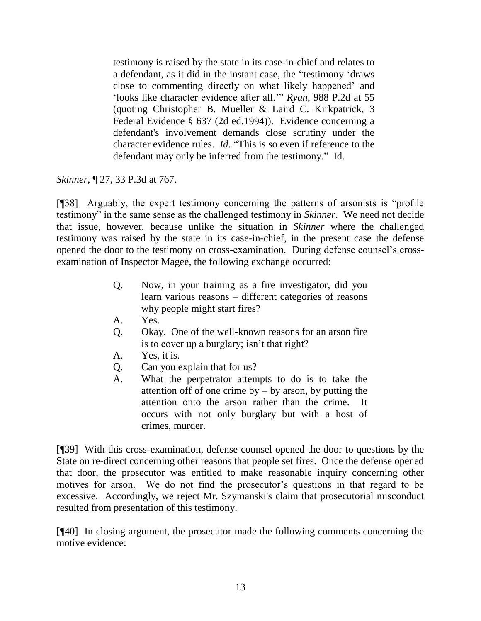testimony is raised by the state in its case-in-chief and relates to a defendant, as it did in the instant case, the "testimony 'draws close to commenting directly on what likely happened' and 'looks like character evidence after all.'" *Ryan*, 988 P.2d at 55 (quoting Christopher B. Mueller & Laird C. Kirkpatrick, 3 Federal Evidence § 637 (2d ed.1994)). Evidence concerning a defendant's involvement demands close scrutiny under the character evidence rules. *Id*. "This is so even if reference to the defendant may only be inferred from the testimony." Id.

*Skinner*, ¶ 27, 33 P.3d at 767.

 $[$ [[38] Arguably, the expert testimony concerning the patterns of arsonists is "profile" testimony" in the same sense as the challenged testimony in *Skinner*. We need not decide that issue, however, because unlike the situation in *Skinner* where the challenged testimony was raised by the state in its case-in-chief, in the present case the defense opened the door to the testimony on cross-examination. During defense counsel's crossexamination of Inspector Magee, the following exchange occurred:

- Q. Now, in your training as a fire investigator, did you learn various reasons – different categories of reasons why people might start fires?
- A. Yes.
- Q. Okay. One of the well-known reasons for an arson fire is to cover up a burglary; isn't that right?
- A. Yes, it is.
- Q. Can you explain that for us?
- A. What the perpetrator attempts to do is to take the attention off of one crime by  $-$  by arson, by putting the attention onto the arson rather than the crime. It occurs with not only burglary but with a host of crimes, murder.

[¶39] With this cross-examination, defense counsel opened the door to questions by the State on re-direct concerning other reasons that people set fires. Once the defense opened that door, the prosecutor was entitled to make reasonable inquiry concerning other motives for arson. We do not find the prosecutor's questions in that regard to be excessive. Accordingly, we reject Mr. Szymanski's claim that prosecutorial misconduct resulted from presentation of this testimony.

[¶40] In closing argument, the prosecutor made the following comments concerning the motive evidence: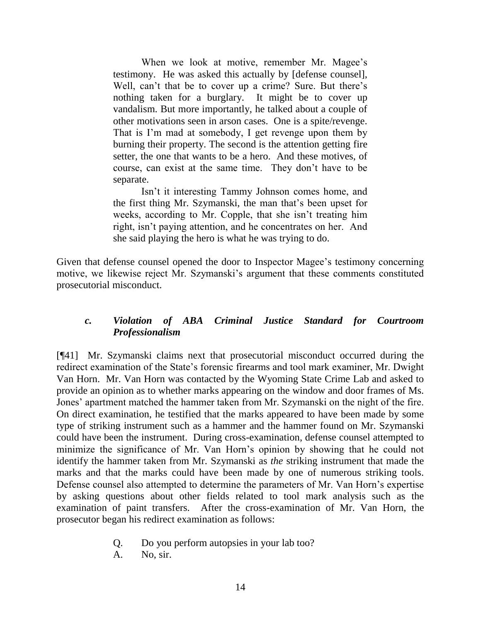When we look at motive, remember Mr. Magee's testimony. He was asked this actually by [defense counsel], Well, can't that be to cover up a crime? Sure. But there's nothing taken for a burglary. It might be to cover up vandalism. But more importantly, he talked about a couple of other motivations seen in arson cases. One is a spite/revenge. That is I'm mad at somebody, I get revenge upon them by burning their property. The second is the attention getting fire setter, the one that wants to be a hero. And these motives, of course, can exist at the same time. They don't have to be separate.

Isn't it interesting Tammy Johnson comes home, and the first thing Mr. Szymanski, the man that's been upset for weeks, according to Mr. Copple, that she isn't treating him right, isn't paying attention, and he concentrates on her. And she said playing the hero is what he was trying to do.

Given that defense counsel opened the door to Inspector Magee's testimony concerning motive, we likewise reject Mr. Szymanski's argument that these comments constituted prosecutorial misconduct.

### *c. Violation of ABA Criminal Justice Standard for Courtroom Professionalism*

[¶41] Mr. Szymanski claims next that prosecutorial misconduct occurred during the redirect examination of the State's forensic firearms and tool mark examiner, Mr. Dwight Van Horn. Mr. Van Horn was contacted by the Wyoming State Crime Lab and asked to provide an opinion as to whether marks appearing on the window and door frames of Ms. Jones' apartment matched the hammer taken from Mr. Szymanski on the night of the fire. On direct examination, he testified that the marks appeared to have been made by some type of striking instrument such as a hammer and the hammer found on Mr. Szymanski could have been the instrument. During cross-examination, defense counsel attempted to minimize the significance of Mr. Van Horn's opinion by showing that he could not identify the hammer taken from Mr. Szymanski as *the* striking instrument that made the marks and that the marks could have been made by one of numerous striking tools. Defense counsel also attempted to determine the parameters of Mr. Van Horn's expertise by asking questions about other fields related to tool mark analysis such as the examination of paint transfers. After the cross-examination of Mr. Van Horn, the prosecutor began his redirect examination as follows:

- Q. Do you perform autopsies in your lab too?
- A. No, sir.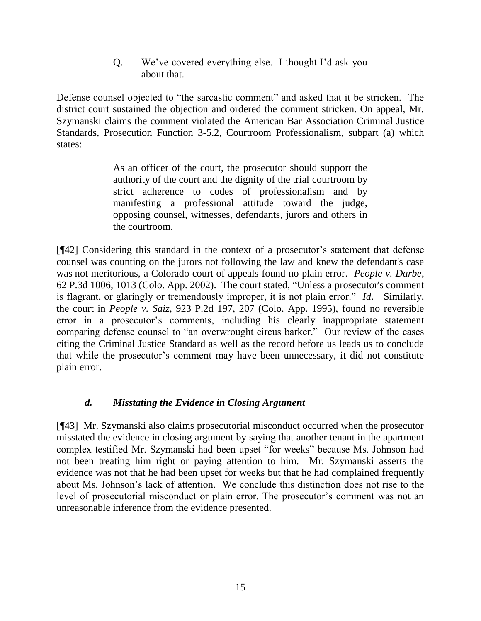Q. We've covered everything else. I thought I'd ask you about that.

Defense counsel objected to "the sarcastic comment" and asked that it be stricken. The district court sustained the objection and ordered the comment stricken. On appeal, Mr. Szymanski claims the comment violated the American Bar Association Criminal Justice Standards, Prosecution Function 3-5.2, Courtroom Professionalism, subpart (a) which states:

> As an officer of the court, the prosecutor should support the authority of the court and the dignity of the trial courtroom by strict adherence to codes of professionalism and by manifesting a professional attitude toward the judge, opposing counsel, witnesses, defendants, jurors and others in the courtroom.

[¶42] Considering this standard in the context of a prosecutor's statement that defense counsel was counting on the jurors not following the law and knew the defendant's case was not meritorious, a Colorado court of appeals found no plain error. *People v. Darbe*, 62 P.3d 1006, 1013 (Colo. App. 2002). The court stated, "Unless a prosecutor's comment is flagrant, or glaringly or tremendously improper, it is not plain error." *Id.* Similarly, the court in *People v. Saiz*, 923 P.2d 197, 207 (Colo. App. 1995), found no reversible error in a prosecutor's comments, including his clearly inappropriate statement comparing defense counsel to "an overwrought circus barker." Our review of the cases citing the Criminal Justice Standard as well as the record before us leads us to conclude that while the prosecutor's comment may have been unnecessary, it did not constitute plain error.

# *d. Misstating the Evidence in Closing Argument*

[¶43] Mr. Szymanski also claims prosecutorial misconduct occurred when the prosecutor misstated the evidence in closing argument by saying that another tenant in the apartment complex testified Mr. Szymanski had been upset "for weeks" because Ms. Johnson had not been treating him right or paying attention to him. Mr. Szymanski asserts the evidence was not that he had been upset for weeks but that he had complained frequently about Ms. Johnson's lack of attention. We conclude this distinction does not rise to the level of prosecutorial misconduct or plain error. The prosecutor's comment was not an unreasonable inference from the evidence presented.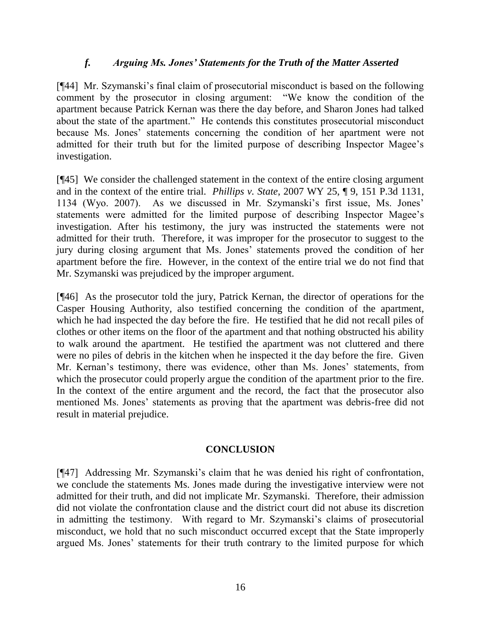#### *f. Arguing Ms. Jones' Statements for the Truth of the Matter Asserted*

[¶44] Mr. Szymanski's final claim of prosecutorial misconduct is based on the following comment by the prosecutor in closing argument: "We know the condition of the apartment because Patrick Kernan was there the day before, and Sharon Jones had talked about the state of the apartment." He contends this constitutes prosecutorial misconduct because Ms. Jones' statements concerning the condition of her apartment were not admitted for their truth but for the limited purpose of describing Inspector Magee's investigation.

[¶45] We consider the challenged statement in the context of the entire closing argument and in the context of the entire trial. *Phillips v. State*, 2007 WY 25, ¶ 9, 151 P.3d 1131, 1134 (Wyo. 2007). As we discussed in Mr. Szymanski's first issue, Ms. Jones' statements were admitted for the limited purpose of describing Inspector Magee's investigation. After his testimony, the jury was instructed the statements were not admitted for their truth. Therefore, it was improper for the prosecutor to suggest to the jury during closing argument that Ms. Jones' statements proved the condition of her apartment before the fire. However, in the context of the entire trial we do not find that Mr. Szymanski was prejudiced by the improper argument.

[¶46] As the prosecutor told the jury, Patrick Kernan, the director of operations for the Casper Housing Authority, also testified concerning the condition of the apartment, which he had inspected the day before the fire. He testified that he did not recall piles of clothes or other items on the floor of the apartment and that nothing obstructed his ability to walk around the apartment. He testified the apartment was not cluttered and there were no piles of debris in the kitchen when he inspected it the day before the fire. Given Mr. Kernan's testimony, there was evidence, other than Ms. Jones' statements, from which the prosecutor could properly argue the condition of the apartment prior to the fire. In the context of the entire argument and the record, the fact that the prosecutor also mentioned Ms. Jones' statements as proving that the apartment was debris-free did not result in material prejudice.

#### **CONCLUSION**

[¶47] Addressing Mr. Szymanski's claim that he was denied his right of confrontation, we conclude the statements Ms. Jones made during the investigative interview were not admitted for their truth, and did not implicate Mr. Szymanski. Therefore, their admission did not violate the confrontation clause and the district court did not abuse its discretion in admitting the testimony. With regard to Mr. Szymanski's claims of prosecutorial misconduct, we hold that no such misconduct occurred except that the State improperly argued Ms. Jones' statements for their truth contrary to the limited purpose for which